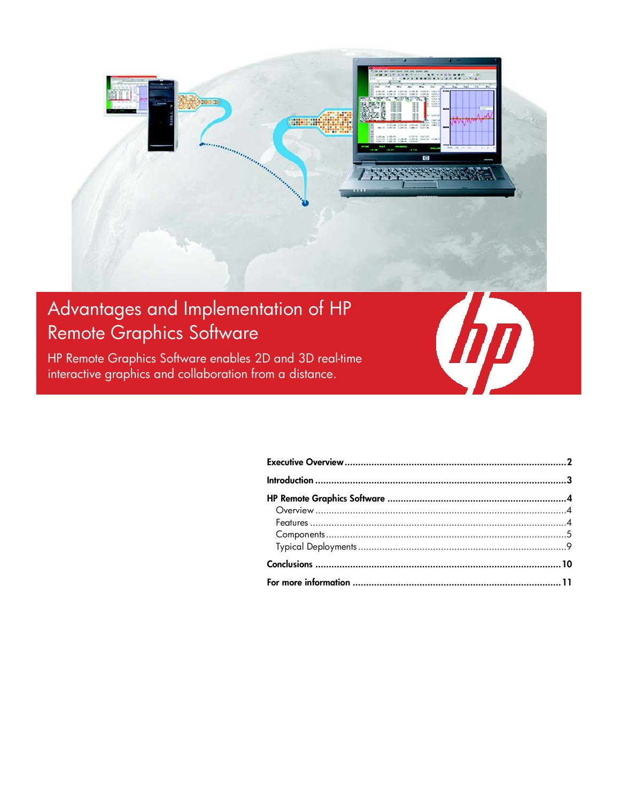

# Advantages and Implementation of HP Remote Graphics Software

HP Remote Graphics Software enables 2D and 3D real-time interactive graphics and collaboration from a distance.

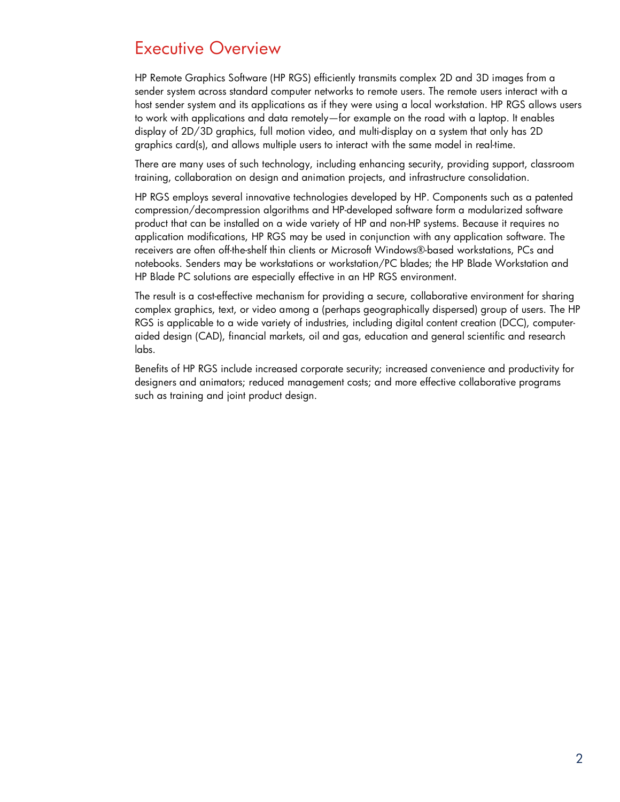## Executive Overview

HP Remote Graphics Software (HP RGS) efficiently transmits complex 2D and 3D images from a sender system across standard computer networks to remote users. The remote users interact with a host sender system and its applications as if they were using a local workstation. HP RGS allows users to work with applications and data remotely—for example on the road with a laptop. It enables display of 2D/3D graphics, full motion video, and multi-display on a system that only has 2D graphics card(s), and allows multiple users to interact with the same model in real-time.

There are many uses of such technology, including enhancing security, providing support, classroom training, collaboration on design and animation projects, and infrastructure consolidation.

HP RGS employs several innovative technologies developed by HP. Components such as a patented compression/decompression algorithms and HP-developed software form a modularized software product that can be installed on a wide variety of HP and non-HP systems. Because it requires no application modifications, HP RGS may be used in conjunction with any application software. The receivers are often off-the-shelf thin clients or Microsoft Windows®-based workstations, PCs and notebooks. Senders may be workstations or workstation/PC blades; the HP Blade Workstation and HP Blade PC solutions are especially effective in an HP RGS environment.

The result is a cost-effective mechanism for providing a secure, collaborative environment for sharing complex graphics, text, or video among a (perhaps geographically dispersed) group of users. The HP RGS is applicable to a wide variety of industries, including digital content creation (DCC), computeraided design (CAD), financial markets, oil and gas, education and general scientific and research labs.

Benefits of HP RGS include increased corporate security; increased convenience and productivity for designers and animators; reduced management costs; and more effective collaborative programs such as training and joint product design.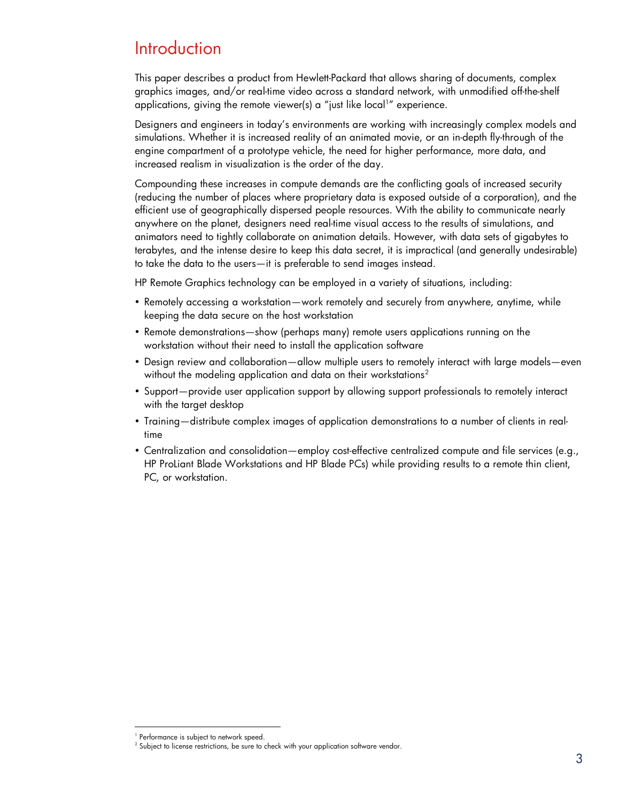## **Introduction**

This paper describes a product from Hewlett-Packard that allows sharing of documents, complex graphics images, and/or real-time video across a standard network, with unmodified off-the-shelf applications, giving the remote viewer(s) a "just like local1" experience.

Designers and engineers in today's environments are working with increasingly complex models and simulations. Whether it is increased reality of an animated movie, or an in-depth fly-through of the engine compartment of a prototype vehicle, the need for higher performance, more data, and increased realism in visualization is the order of the day.

Compounding these increases in compute demands are the conflicting goals of increased security (reducing the number of places where proprietary data is exposed outside of a corporation), and the efficient use of geographically dispersed people resources. With the ability to communicate nearly anywhere on the planet, designers need real-time visual access to the results of simulations, and animators need to tightly collaborate on animation details. However, with data sets of gigabytes to terabytes, and the intense desire to keep this data secret, it is impractical (and generally undesirable) to take the data to the users—it is preferable to send images instead.

HP Remote Graphics technology can be employed in a variety of situations, including:

- Remotely accessing a workstation—work remotely and securely from anywhere, anytime, while keeping the data secure on the host workstation
- Remote demonstrations—show (perhaps many) remote users applications running on the workstation without their need to install the application software
- Design review and collaboration—allow multiple users to remotely interact with large models—even without the modeling application and data on their workstations<sup>2</sup>
- Support—provide user application support by allowing support professionals to remotely interact with the target desktop
- Training—distribute complex images of application demonstrations to a number of clients in realtime
- Centralization and consolidation—employ cost-effective centralized compute and file services (e.g., HP ProLiant Blade Workstations and HP Blade PCs) while providing results to a remote thin client, PC, or workstation.

-

<sup>1</sup> Performance is subject to network speed.

 $^2$  Subject to license restrictions, be sure to check with your application software vendor.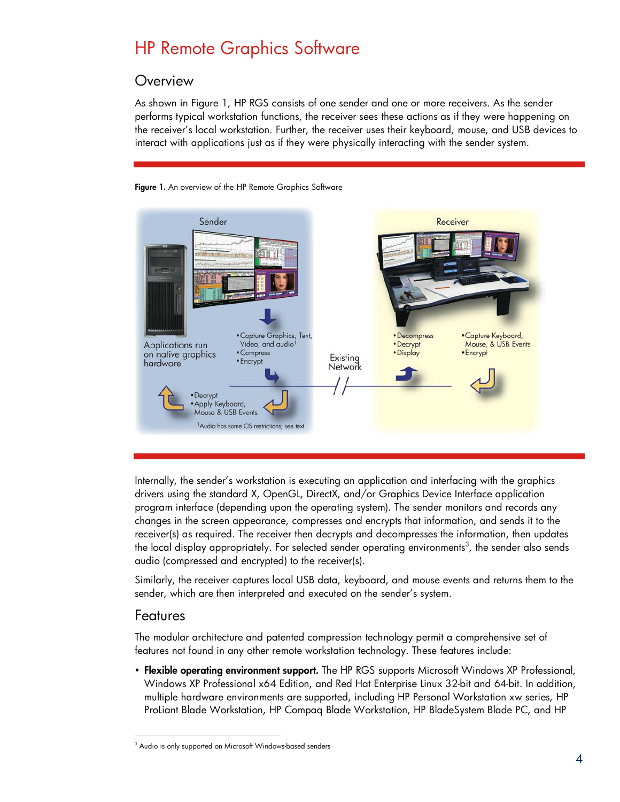# HP Remote Graphics Software

### **Overview**

As shown in Figure 1, HP RGS consists of one sender and one or more receivers. As the sender performs typical workstation functions, the receiver sees these actions as if they were happening on the receiver's local workstation. Further, the receiver uses their keyboard, mouse, and USB devices to interact with applications just as if they were physically interacting with the sender system.





Internally, the sender's workstation is executing an application and interfacing with the graphics drivers using the standard X, OpenGL, DirectX, and/or Graphics Device Interface application program interface (depending upon the operating system). The sender monitors and records any changes in the screen appearance, compresses and encrypts that information, and sends it to the receiver(s) as required. The receiver then decrypts and decompresses the information, then updates the local display appropriately. For selected sender operating environments $^3$ , the sender also sends audio (compressed and encrypted) to the receiver(s).

Similarly, the receiver captures local USB data, keyboard, and mouse events and returns them to the sender, which are then interpreted and executed on the sender's system.

### Features

The modular architecture and patented compression technology permit a comprehensive set of features not found in any other remote workstation technology. These features include:

• Flexible operating environment support. The HP RGS supports Microsoft Windows XP Professional, Windows XP Professional x64 Edition, and Red Hat Enterprise Linux 32-bit and 64-bit. In addition, multiple hardware environments are supported, including HP Personal Workstation xw series, HP ProLiant Blade Workstation, HP Compaq Blade Workstation, HP BladeSystem Blade PC, and HP

<sup>3</sup> Audio is only supported on Microsoft Windows-based senders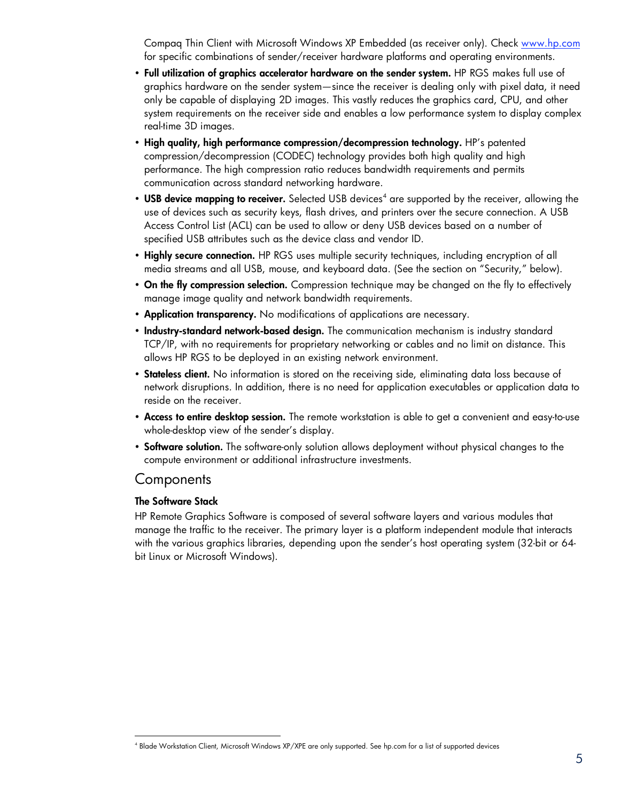Compaq Thin Client with Microsoft Windows XP Embedded (as receiver only). Check www.hp.com for specific combinations of sender/receiver hardware platforms and operating environments.

- Full utilization of graphics accelerator hardware on the sender system. HP RGS makes full use of graphics hardware on the sender system—since the receiver is dealing only with pixel data, it need only be capable of displaying 2D images. This vastly reduces the graphics card, CPU, and other system requirements on the receiver side and enables a low performance system to display complex real-time 3D images.
- High quality, high performance compression/decompression technology. HP's patented compression/decompression (CODEC) technology provides both high quality and high performance. The high compression ratio reduces bandwidth requirements and permits communication across standard networking hardware.
- USB device mapping to receiver. Selected USB devices<sup>4</sup> are supported by the receiver, allowing the use of devices such as security keys, flash drives, and printers over the secure connection. A USB Access Control List (ACL) can be used to allow or deny USB devices based on a number of specified USB attributes such as the device class and vendor ID.
- Highly secure connection. HP RGS uses multiple security techniques, including encryption of all media streams and all USB, mouse, and keyboard data. (See the section on "Security," below).
- On the fly compression selection. Compression technique may be changed on the fly to effectively manage image quality and network bandwidth requirements.
- Application transparency. No modifications of applications are necessary.
- Industry-standard network-based design. The communication mechanism is industry standard TCP/IP, with no requirements for proprietary networking or cables and no limit on distance. This allows HP RGS to be deployed in an existing network environment.
- Stateless client. No information is stored on the receiving side, eliminating data loss because of network disruptions. In addition, there is no need for application executables or application data to reside on the receiver.
- Access to entire desktop session. The remote workstation is able to get a convenient and easy-to-use whole-desktop view of the sender's display.
- Software solution. The software-only solution allows deployment without physical changes to the compute environment or additional infrastructure investments.

### **Components**

#### The Software Stack

HP Remote Graphics Software is composed of several software layers and various modules that manage the traffic to the receiver. The primary layer is a platform independent module that interacts with the various graphics libraries, depending upon the sender's host operating system (32-bit or 64 bit Linux or Microsoft Windows).

<sup>4</sup> Blade Workstation Client, Microsoft Windows XP/XPE are only supported. See hp.com for a list of supported devices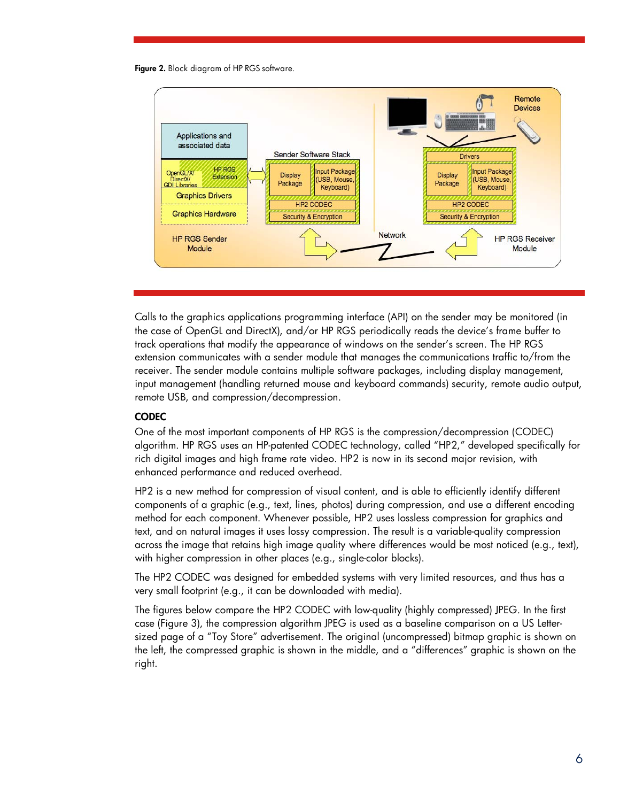Figure 2. Block diagram of HP RGS software.



Calls to the graphics applications programming interface (API) on the sender may be monitored (in the case of OpenGL and DirectX), and/or HP RGS periodically reads the device's frame buffer to track operations that modify the appearance of windows on the sender's screen. The HP RGS extension communicates with a sender module that manages the communications traffic to/from the receiver. The sender module contains multiple software packages, including display management, input management (handling returned mouse and keyboard commands) security, remote audio output, remote USB, and compression/decompression.

#### **CODEC**

One of the most important components of HP RGS is the compression/decompression (CODEC) algorithm. HP RGS uses an HP-patented CODEC technology, called "HP2," developed specifically for rich digital images and high frame rate video. HP2 is now in its second major revision, with enhanced performance and reduced overhead.

HP2 is a new method for compression of visual content, and is able to efficiently identify different components of a graphic (e.g., text, lines, photos) during compression, and use a different encoding method for each component. Whenever possible, HP2 uses lossless compression for graphics and text, and on natural images it uses lossy compression. The result is a variable-quality compression across the image that retains high image quality where differences would be most noticed (e.g., text), with higher compression in other places (e.g., single-color blocks).

The HP2 CODEC was designed for embedded systems with very limited resources, and thus has a very small footprint (e.g., it can be downloaded with media).

The figures below compare the HP2 CODEC with low-quality (highly compressed) JPEG. In the first case (Figure 3), the compression algorithm JPEG is used as a baseline comparison on a US Lettersized page of a "Toy Store" advertisement. The original (uncompressed) bitmap graphic is shown on the left, the compressed graphic is shown in the middle, and a "differences" graphic is shown on the right.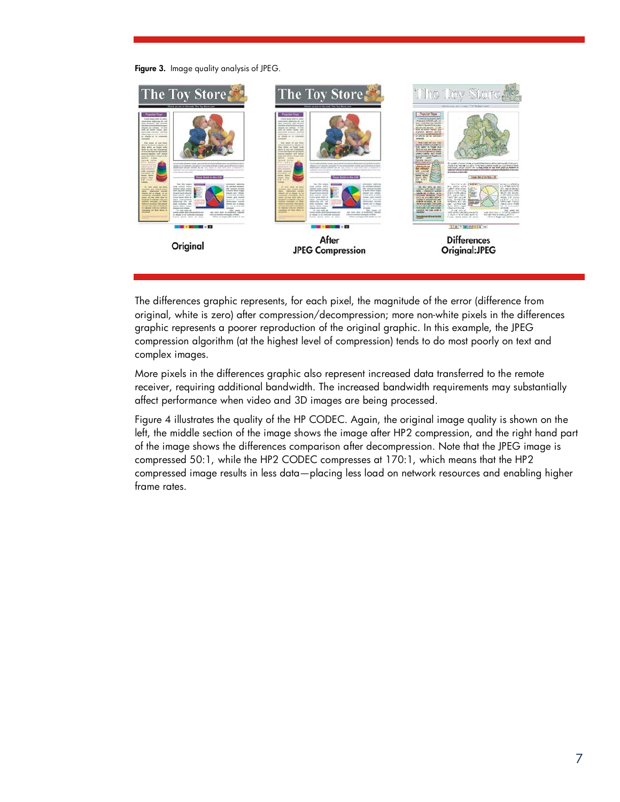Figure 3. Image quality analysis of JPEG.



The differences graphic represents, for each pixel, the magnitude of the error (difference from original, white is zero) after compression/decompression; more non-white pixels in the differences graphic represents a poorer reproduction of the original graphic. In this example, the JPEG compression algorithm (at the highest level of compression) tends to do most poorly on text and complex images.

More pixels in the differences graphic also represent increased data transferred to the remote receiver, requiring additional bandwidth. The increased bandwidth requirements may substantially affect performance when video and 3D images are being processed.

Figure 4 illustrates the quality of the HP CODEC. Again, the original image quality is shown on the left, the middle section of the image shows the image after HP2 compression, and the right hand part of the image shows the differences comparison after decompression. Note that the JPEG image is compressed 50:1, while the HP2 CODEC compresses at 170:1, which means that the HP2 compressed image results in less data—placing less load on network resources and enabling higher frame rates.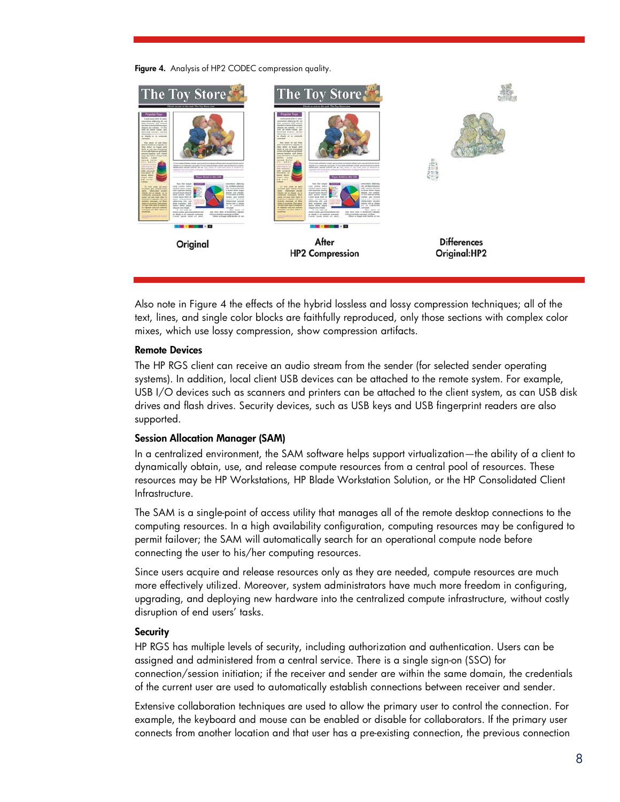Figure 4. Analysis of HP2 CODEC compression quality.



Also note in Figure 4 the effects of the hybrid lossless and lossy compression techniques; all of the text, lines, and single color blocks are faithfully reproduced, only those sections with complex color mixes, which use lossy compression, show compression artifacts.

#### Remote Devices

The HP RGS client can receive an audio stream from the sender (for selected sender operating systems). In addition, local client USB devices can be attached to the remote system. For example, USB I/O devices such as scanners and printers can be attached to the client system, as can USB disk drives and flash drives. Security devices, such as USB keys and USB fingerprint readers are also supported.

#### Session Allocation Manager (SAM)

In a centralized environment, the SAM software helps support virtualization—the ability of a client to dynamically obtain, use, and release compute resources from a central pool of resources. These resources may be HP Workstations, HP Blade Workstation Solution, or the HP Consolidated Client Infrastructure.

The SAM is a single-point of access utility that manages all of the remote desktop connections to the computing resources. In a high availability configuration, computing resources may be configured to permit failover; the SAM will automatically search for an operational compute node before connecting the user to his/her computing resources.

Since users acquire and release resources only as they are needed, compute resources are much more effectively utilized. Moreover, system administrators have much more freedom in configuring, upgrading, and deploying new hardware into the centralized compute infrastructure, without costly disruption of end users' tasks.

#### **Security**

HP RGS has multiple levels of security, including authorization and authentication. Users can be assigned and administered from a central service. There is a single sign-on (SSO) for connection/session initiation; if the receiver and sender are within the same domain, the credentials of the current user are used to automatically establish connections between receiver and sender.

Extensive collaboration techniques are used to allow the primary user to control the connection. For example, the keyboard and mouse can be enabled or disable for collaborators. If the primary user connects from another location and that user has a pre-existing connection, the previous connection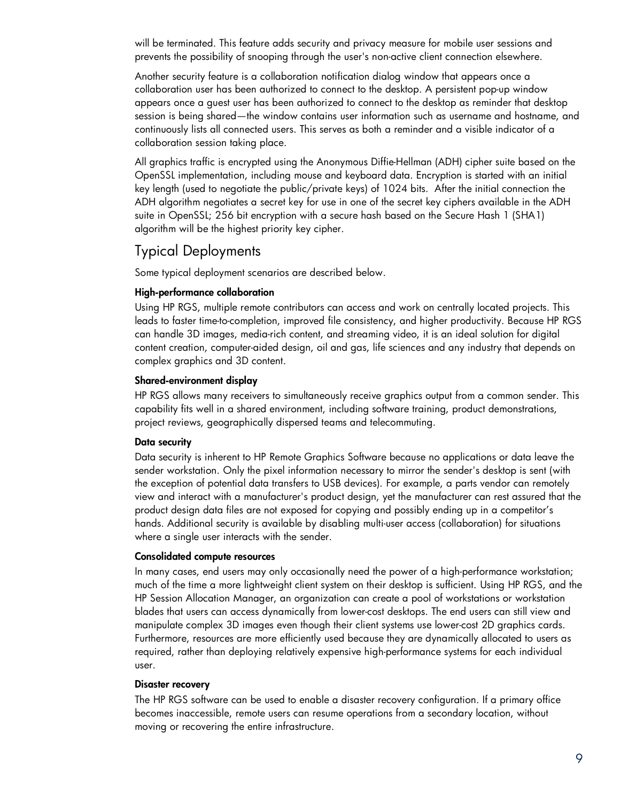will be terminated. This feature adds security and privacy measure for mobile user sessions and prevents the possibility of snooping through the user's non-active client connection elsewhere.

Another security feature is a collaboration notification dialog window that appears once a collaboration user has been authorized to connect to the desktop. A persistent pop-up window appears once a guest user has been authorized to connect to the desktop as reminder that desktop session is being shared—the window contains user information such as username and hostname, and continuously lists all connected users. This serves as both a reminder and a visible indicator of a collaboration session taking place.

All graphics traffic is encrypted using the Anonymous Diffie-Hellman (ADH) cipher suite based on the OpenSSL implementation, including mouse and keyboard data. Encryption is started with an initial key length (used to negotiate the public/private keys) of 1024 bits. After the initial connection the ADH algorithm negotiates a secret key for use in one of the secret key ciphers available in the ADH suite in OpenSSL; 256 bit encryption with a secure hash based on the Secure Hash 1 (SHA1) algorithm will be the highest priority key cipher.

### Typical Deployments

Some typical deployment scenarios are described below.

#### High-performance collaboration

Using HP RGS, multiple remote contributors can access and work on centrally located projects. This leads to faster time-to-completion, improved file consistency, and higher productivity. Because HP RGS can handle 3D images, media-rich content, and streaming video, it is an ideal solution for digital content creation, computer-aided design, oil and gas, life sciences and any industry that depends on complex graphics and 3D content.

#### Shared-environment display

HP RGS allows many receivers to simultaneously receive graphics output from a common sender. This capability fits well in a shared environment, including software training, product demonstrations, project reviews, geographically dispersed teams and telecommuting.

#### Data security

Data security is inherent to HP Remote Graphics Software because no applications or data leave the sender workstation. Only the pixel information necessary to mirror the sender's desktop is sent (with the exception of potential data transfers to USB devices). For example, a parts vendor can remotely view and interact with a manufacturer's product design, yet the manufacturer can rest assured that the product design data files are not exposed for copying and possibly ending up in a competitor's hands. Additional security is available by disabling multi-user access (collaboration) for situations where a single user interacts with the sender.

#### Consolidated compute resources

In many cases, end users may only occasionally need the power of a high-performance workstation; much of the time a more lightweight client system on their desktop is sufficient. Using HP RGS, and the HP Session Allocation Manager, an organization can create a pool of workstations or workstation blades that users can access dynamically from lower-cost desktops. The end users can still view and manipulate complex 3D images even though their client systems use lower-cost 2D graphics cards. Furthermore, resources are more efficiently used because they are dynamically allocated to users as required, rather than deploying relatively expensive high-performance systems for each individual user.

#### Disaster recovery

The HP RGS software can be used to enable a disaster recovery configuration. If a primary office becomes inaccessible, remote users can resume operations from a secondary location, without moving or recovering the entire infrastructure.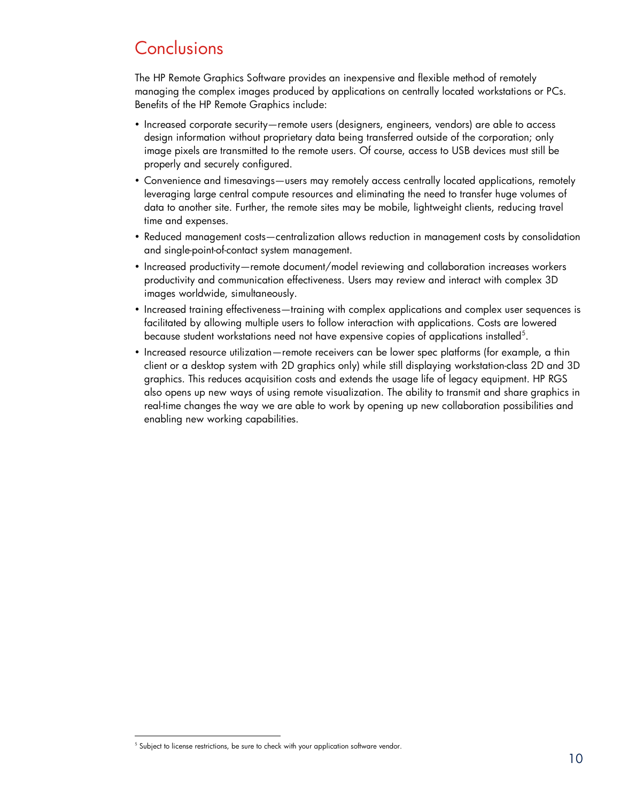## **Conclusions**

The HP Remote Graphics Software provides an inexpensive and flexible method of remotely managing the complex images produced by applications on centrally located workstations or PCs. Benefits of the HP Remote Graphics include:

- Increased corporate security—remote users (designers, engineers, vendors) are able to access design information without proprietary data being transferred outside of the corporation; only image pixels are transmitted to the remote users. Of course, access to USB devices must still be properly and securely configured.
- Convenience and timesavings—users may remotely access centrally located applications, remotely leveraging large central compute resources and eliminating the need to transfer huge volumes of data to another site. Further, the remote sites may be mobile, lightweight clients, reducing travel time and expenses.
- Reduced management costs—centralization allows reduction in management costs by consolidation and single-point-of-contact system management.
- Increased productivity—remote document/model reviewing and collaboration increases workers productivity and communication effectiveness. Users may review and interact with complex 3D images worldwide, simultaneously.
- Increased training effectiveness—training with complex applications and complex user sequences is facilitated by allowing multiple users to follow interaction with applications. Costs are lowered because student workstations need not have expensive copies of applications installed $^5$ .
- Increased resource utilization—remote receivers can be lower spec platforms (for example, a thin client or a desktop system with 2D graphics only) while still displaying workstation-class 2D and 3D graphics. This reduces acquisition costs and extends the usage life of legacy equipment. HP RGS also opens up new ways of using remote visualization. The ability to transmit and share graphics in real-time changes the way we are able to work by opening up new collaboration possibilities and enabling new working capabilities.

<sup>&</sup>lt;sup>5</sup> Subject to license restrictions, be sure to check with your application software vendor.